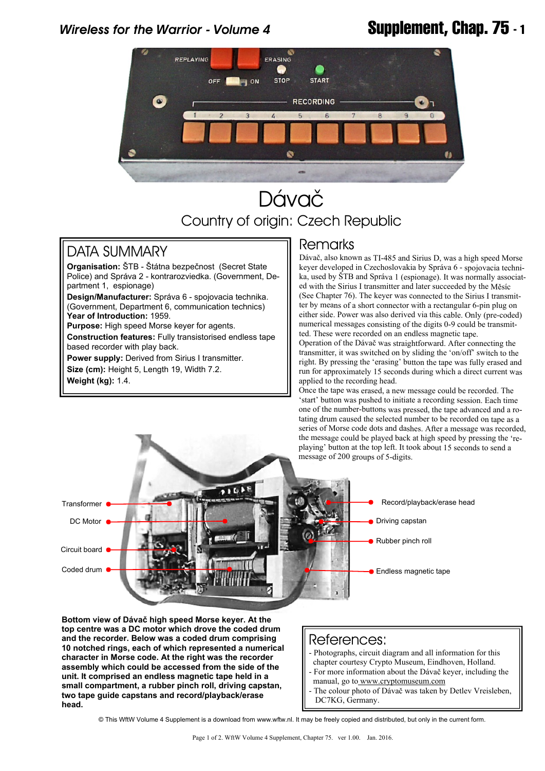# *Wireless for the Warrior - Volume 4* **Supplement, Chap. 75 - 1**



# Dávač Country of origin: Czech Republic

### DATA SUMMARY

**Organisation:** ŠTB - Štátna bezpečnost (Secret State Police) and Správa 2 - kontrarozviedka. (Government, Department 1, espionage)

**Design/Manufacturer:** Správa 6 - spojovacia technika. (Government, Department 6, communication technics) **Year of Introduction:** 1959.

**Purpose:** High speed Morse keyer for agents.

**Construction features:** Fully transistorised endless tape based recorder with play back.

**Power supply:** Derived from Sirius I transmitter. **Size (cm):** Height 5, Length 19, Width 7.2. **Weight (kg):** 1.4.

### Remarks

Dávač, also known as TI-485 and Sirius D, was a high speed Morse keyer developed in Czechoslovakia by Správa 6 - spojovacia technika, used by ŠTB and Správa 1 (espionage). It was normally associated with the Sirius I transmitter and later succeeded by the Měsíc (See Chapter 76). The keyer was connected to the Sirius I transmitter by means of a short connector with a rectangular 6-pin plug on either side. Power was also derived via this cable. Only (pre-coded) numerical messages consisting of the digits 0-9 could be transmitted. These were recorded on an endless magnetic tape.

Operation of the Dávač was straightforward. After connecting the transmitter, it was switched on by sliding the 'on/off' switch to the right. By pressing the 'erasing' button the tape was fully erased and run for approximately 15 seconds during which a direct current was applied to the recording head.

Once the tape was erased, a new message could be recorded. The 'start' button was pushed to initiate a recording session. Each time one of the number-buttons was pressed, the tape advanced and a rotating drum caused the selected number to be recorded on tape as a series of Morse code dots and dashes. After a message was recorded, the message could be played back at high speed by pressing the 'replaying' button at the top left. It took about 15 seconds to send a message of 200 groups of 5-digits.



**Bottom view of Dávač high speed Morse keyer. At the top centre was a DC motor which drove the coded drum and the recorder. Below was a coded drum comprising 10 notched rings, each of which represented a numerical character in Morse code. At the right was the recorder assembly which could be accessed from the side of the unit. It comprised an endless magnetic tape held in a small compartment, a rubber pinch roll, driving capstan, two tape guide capstans and record/playback/erase head.**

#### References:

- Photographs, circuit diagram and all information for this
- chapter courtesy Crypto Museum, Eindhoven, Holland.
- For more information about the Dávač keyer, including the manual, go t[o www.cryptomuseum.com](www.cryptomuseum.com)
- The colour photo of Dávač was taken by Detlev Vreisleben, DC7KG, Germany.

© This WftW Volume 4 Supplement is a download from www.wftw.nl. It may be freely copied and distributed, but only in the current form.